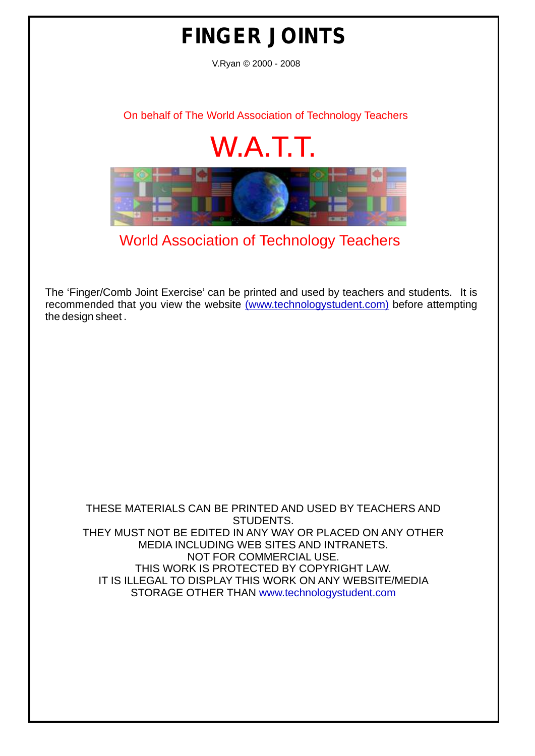